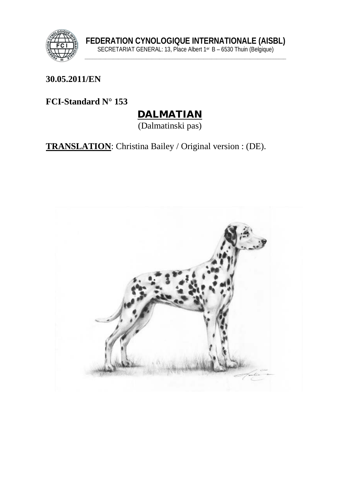

**30.05.2011/EN**

**FCI-Standard N° 153**

# DALMATIAN

(Dalmatinski pas)

**TRANSLATION**: Christina Bailey / Original version : (DE).

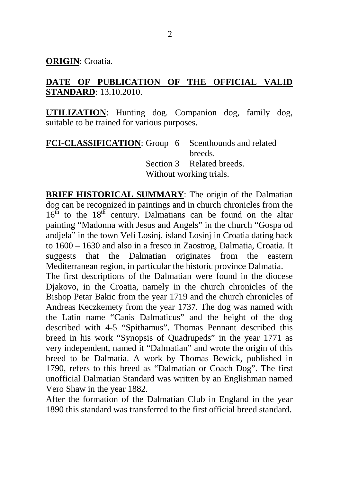**ORIGIN**: Croatia.

#### **DATE OF PUBLICATION OF THE OFFICIAL VALID STANDARD**: 13.10.2010.

**UTILIZATION**: Hunting dog. Companion dog, family dog, suitable to be trained for various purposes.

**FCI-CLASSIFICATION:** Group 6 breeds. Scenthounds and related Section 3 Related breeds. Without working trials.

**BRIEF HISTORICAL SUMMARY**: The origin of the Dalmatian dog can be recognized in paintings and in church chronicles from the  $16<sup>th</sup>$  to the  $18<sup>th</sup>$  century. Dalmatians can be found on the altar painting "Madonna with Jesus and Angels" in the church "Gospa od andjela" in the town Veli Losinj, island Losinj in Croatia dating back to 1600 – 1630 and also in a fresco in Zaostrog, Dalmatia, Croatia= It suggests that the Dalmatian originates from the eastern Mediterranean region, in particular the historic province Dalmatia.

The first descriptions of the Dalmatian were found in the diocese Djakovo, in the Croatia, namely in the church chronicles of the Bishop Petar Bakic from the year 1719 and the church chronicles of Andreas Keczkemety from the year 1737. The dog was named with the Latin name "Canis Dalmaticus" and the height of the dog described with 4-5 "Spithamus". Thomas Pennant described this breed in his work "Synopsis of Quadrupeds" in the year 1771 as very independent, named it "Dalmatian" and wrote the origin of this breed to be Dalmatia. A work by Thomas Bewick, published in 1790, refers to this breed as "Dalmatian or Coach Dog". The first unofficial Dalmatian Standard was written by an Englishman named Vero Shaw in the year 1882.

After the formation of the Dalmatian Club in England in the year 1890 this standard was transferred to the first official breed standard.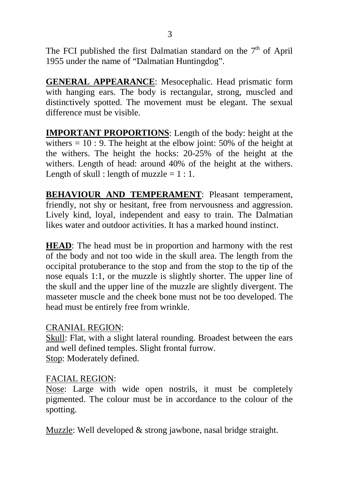The FCI published the first Dalmatian standard on the  $7<sup>th</sup>$  of April 1955 under the name of "Dalmatian Huntingdog".

**GENERAL APPEARANCE**: Mesocephalic. Head prismatic form with hanging ears. The body is rectangular, strong, muscled and distinctively spotted. The movement must be elegant. The sexual difference must be visible.

**IMPORTANT PROPORTIONS**: Length of the body: height at the withers  $= 10: 9$ . The height at the elbow joint: 50% of the height at the withers. The height the hocks: 20-25% of the height at the withers. Length of head: around 40% of the height at the withers. Length of skull : length of muzzle  $= 1 : 1$ .

**BEHAVIOUR AND TEMPERAMENT**: Pleasant temperament, friendly, not shy or hesitant, free from nervousness and aggression. Lively kind, loyal, independent and easy to train. The Dalmatian likes water and outdoor activities. It has a marked hound instinct.

**HEAD**: The head must be in proportion and harmony with the rest of the body and not too wide in the skull area. The length from the occipital protuberance to the stop and from the stop to the tip of the nose equals 1:1, or the muzzle is slightly shorter. The upper line of the skull and the upper line of the muzzle are slightly divergent. The masseter muscle and the cheek bone must not be too developed. The head must be entirely free from wrinkle.

#### CRANIAL REGION:

Skull: Flat, with a slight lateral rounding. Broadest between the ears and well defined temples. Slight frontal furrow. Stop: Moderately defined.

#### FACIAL REGION:

Nose: Large with wide open nostrils, it must be completely pigmented. The colour must be in accordance to the colour of the spotting.

Muzzle: Well developed & strong jawbone, nasal bridge straight.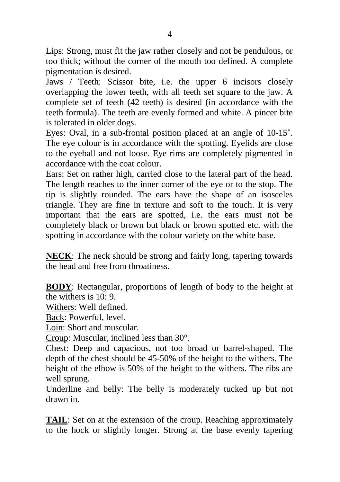Lips: Strong, must fit the jaw rather closely and not be pendulous, or too thick; without the corner of the mouth too defined. A complete pigmentation is desired.

Jaws / Teeth: Scissor bite, i.e. the upper 6 incisors closely overlapping the lower teeth, with all teeth set square to the jaw. A complete set of teeth (42 teeth) is desired (in accordance with the teeth formula). The teeth are evenly formed and white. A pincer bite is tolerated in older dogs.

Eyes: Oval, in a sub-frontal position placed at an angle of 10-15˚. The eye colour is in accordance with the spotting. Eyelids are close to the eyeball and not loose. Eye rims are completely pigmented in accordance with the coat colour.

Ears: Set on rather high, carried close to the lateral part of the head. The length reaches to the inner corner of the eye or to the stop. The tip is slightly rounded. The ears have the shape of an isosceles triangle. They are fine in texture and soft to the touch. It is very important that the ears are spotted, i.e. the ears must not be completely black or brown but black or brown spotted etc. with the spotting in accordance with the colour variety on the white base.

**NECK:** The neck should be strong and fairly long, tapering towards the head and free from throatiness.

**BODY**: Rectangular, proportions of length of body to the height at the withers is 10: 9.

Withers: Well defined.

Back: Powerful, level.

Loin: Short and muscular.

Croup: Muscular, inclined less than 30°.

Chest: Deep and capacious, not too broad or barrel-shaped. The depth of the chest should be 45-50% of the height to the withers. The height of the elbow is 50% of the height to the withers. The ribs are well sprung.

Underline and belly: The belly is moderately tucked up but not drawn in.

**TAIL**: Set on at the extension of the croup. Reaching approximately to the hock or slightly longer. Strong at the base evenly tapering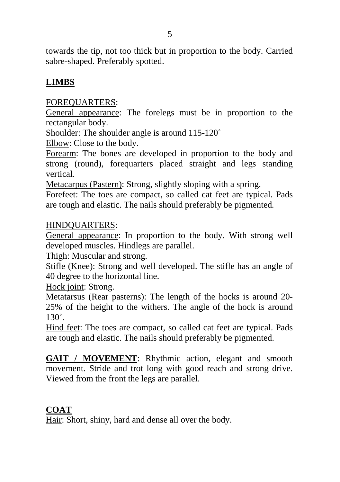towards the tip, not too thick but in proportion to the body. Carried sabre-shaped. Preferably spotted.

#### **LIMBS**

#### FOREQUARTERS:

General appearance: The forelegs must be in proportion to the rectangular body.

Shoulder: The shoulder angle is around 115-120˚

Elbow: Close to the body.

Forearm: The bones are developed in proportion to the body and strong (round), forequarters placed straight and legs standing vertical.

Metacarpus (Pastern): Strong, slightly sloping with a spring.

Forefeet: The toes are compact, so called cat feet are typical. Pads are tough and elastic. The nails should preferably be pigmented*.*

#### HINDQUARTERS:

General appearance: In proportion to the body. With strong well developed muscles. Hindlegs are parallel.

Thigh: Muscular and strong.

Stifle (Knee): Strong and well developed. The stifle has an angle of 40 degree to the horizontal line.

Hock joint: Strong.

Metatarsus (Rear pasterns): The length of the hocks is around 20- 25% of the height to the withers. The angle of the hock is around  $130^\circ$ 

Hind feet: The toes are compact, so called cat feet are typical. Pads are tough and elastic. The nails should preferably be pigmented.

**GAIT / MOVEMENT**: Rhythmic action, elegant and smooth movement. Stride and trot long with good reach and strong drive. Viewed from the front the legs are parallel.

## **COAT**

Hair: Short, shiny, hard and dense all over the body.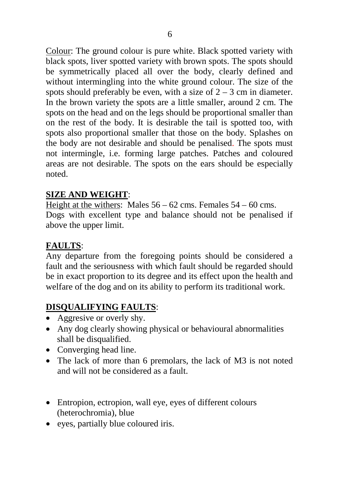Colour: The ground colour is pure white. Black spotted variety with black spots, liver spotted variety with brown spots. The spots should be symmetrically placed all over the body, clearly defined and without intermingling into the white ground colour. The size of the spots should preferably be even, with a size of  $2 - 3$  cm in diameter. In the brown variety the spots are a little smaller, around 2 cm. The spots on the head and on the legs should be proportional smaller than on the rest of the body. It is desirable the tail is spotted too, with spots also proportional smaller that those on the body. Splashes on the body are not desirable and should be penalised. The spots must not intermingle, i.e. forming large patches. Patches and coloured areas are not desirable. The spots on the ears should be especially noted.

#### **SIZE AND WEIGHT**:

Height at the withers: Males 56 – 62 cms. Females 54 – 60 cms. Dogs with excellent type and balance should not be penalised if above the upper limit.

#### **FAULTS** :

Any departure from the foregoing points should be considered a fault and the seriousness with which fault should be regarded should be in exact proportion to its degree and its effect upon the health and welfare of the dog and on its ability to perform its traditional work.

#### **DISQUALIFYING FAULTS** :

- Aggresive or overly shy.
- Any dog clearly showing physical or behavioural abnormalities shall be disqualified.
- Converging head line.
- The lack of more than 6 premolars, the lack of M3 is not noted and will not be considered as a fault.
- Entropion, ectropion, wall eye, eyes of different colours (heterochromia), blue
- eyes, partially blue coloured iris.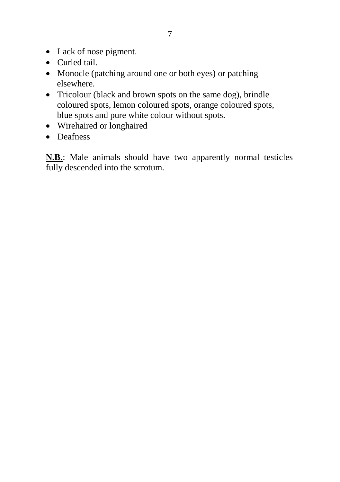- Lack of nose pigment.
- Curled tail.
- Monocle (patching around one or both eyes) or patching elsewhere.
- Tricolour (black and brown spots on the same dog), brindle coloured spots, lemon coloured spots, orange coloured spots, blue spots and pure white colour without spots.
- Wirehaired or longhaired
- Deafness

**N.B.**: Male animals should have two apparently normal testicles fully descended into the scrotum.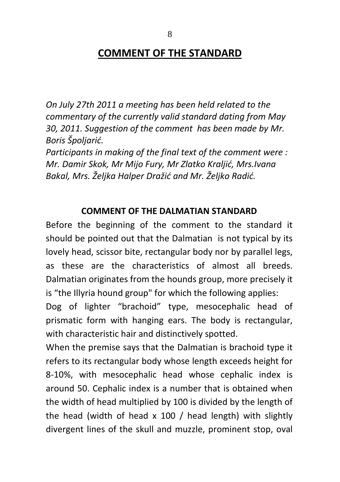*On July 27th 2011 a meeting has been held related to the commentary of the currently valid standard dating from May 30, 2011. Suggestion of the comment has been made by Mr. Boris Špoljarić.* 

*Participants in making of the final text of the comment were : Mr. Damir Skok, Mr Mijo Fury, Mr Zlatko Kraljić, Mrs.Ivana Bakal, Mrs. Željka Halper Dražić and Mr. Željko Radić.* 

#### **COMMENT OF THE DALMATIAN STANDARD**

Before the beginning of the comment to the standard it should be pointed out that the Dalmatian is not typical by its lovely head, scissor bite, rectangular body nor by parallel legs, as these are the characteristics of almost all breeds. Dalmatian originates from the hounds group, more precisely it is "the Illyria hound group" for which the following applies:

Dog of lighter "brachoid" type, mesocephalic head of prismatic form with hanging ears. The body is rectangular, with characteristic hair and distinctively spotted.

When the premise says that the Dalmatian is brachoid type it refers to its rectangular body whose length exceeds height for 8-10%, with mesocephalic head whose cephalic index is around 50. Cephalic index is a number that is obtained when the width of head multiplied by 100 is divided by the length of the head (width of head x 100 / head length) with slightly divergent lines of the skull and muzzle, prominent stop, oval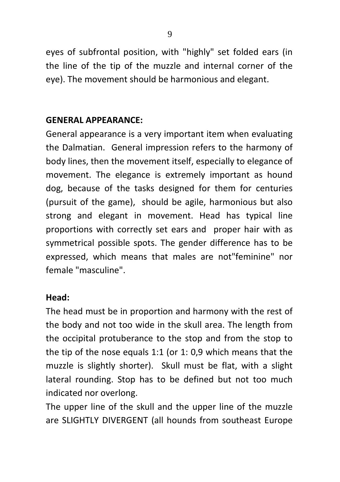eyes of subfrontal position, with "highly" set folded ears (in the line of the tip of the muzzle and internal corner of the eye). The movement should be harmonious and elegant.

# **GENERAL APPEARANCE:**

General appearance is a very important item when evaluating the Dalmatian. General impression refers to the harmony of body lines, then the movement itself, especially to elegance of movement. The elegance is extremely important as hound dog, because of the tasks designed for them for centuries (pursuit of the game), should be agile, harmonious but also strong and elegant in movement. Head has typical line proportions with correctly set ears and proper hair with as symmetrical possible spots. The gender difference has to be expressed, which means that males are not"feminine" nor female "masculine".

#### **Head:**

The head must be in proportion and harmony with the rest of the body and not too wide in the skull area. The length from the occipital protuberance to the stop and from the stop to the tip of the nose equals 1:1 (or 1: 0,9 which means that the muzzle is slightly shorter). Skull must be flat, with a slight lateral rounding. Stop has to be defined but not too much indicated nor overlong.

The upper line of the skull and the upper line of the muzzle are SLIGHTLY DIVERGENT (all hounds from southeast Europe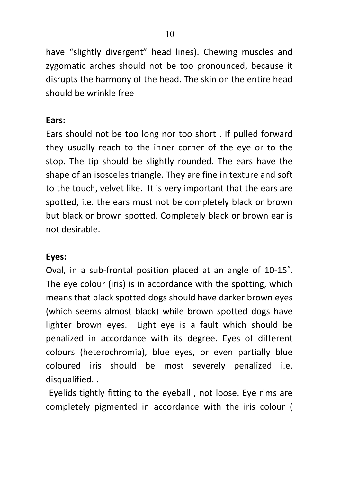have "slightly divergent" head lines). Chewing muscles and zygomatic arches should not be too pronounced, because it disrupts the harmony of the head. The skin on the entire head should be wrinkle free

# **Ears:**

Ears should not be too long nor too short . If pulled forward they usually reach to the inner corner of the eye or to the stop. The tip should be slightly rounded. The ears have the shape of an isosceles triangle. They are fine in texture and soft to the touch, velvet like. It is very important that the ears are spotted, i.e. the ears must not be completely black or brown but black or brown spotted. Completely black or brown ear is not desirable.

# **Eyes:**

Oval, in a sub-frontal position placed at an angle of 10-15˚. The eye colour (iris) is in accordance with the spotting, which means that black spotted dogs should have darker brown eyes (which seems almost black) while brown spotted dogs have lighter brown eyes. Light eye is a fault which should be penalized in accordance with its degree. Eyes of different colours (heterochromia), blue eyes, or even partially blue coloured iris should be most severely penalized i.e. disqualified. .

Eyelids tightly fitting to the eyeball , not loose. Eye rims are completely pigmented in accordance with the iris colour (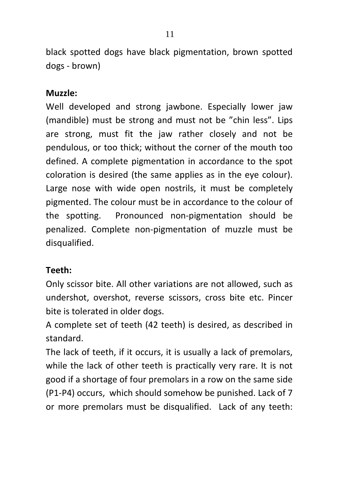black spotted dogs have black pigmentation, brown spotted dogs - brown)

## **Muzzle:**

Well developed and strong jawbone. Especially lower jaw (mandible) must be strong and must not be "chin less". Lips are strong, must fit the jaw rather closely and not be pendulous, or too thick; without the corner of the mouth too defined. A complete pigmentation in accordance to the spot coloration is desired (the same applies as in the eye colour). Large nose with wide open nostrils, it must be completely pigmented. The colour must be in accordance to the colour of the spotting. Pronounced non-pigmentation should be penalized. Complete non-pigmentation of muzzle must be disqualified.

## **Teeth:**

Only scissor bite. All other variations are not allowed, such as undershot, overshot, reverse scissors, cross bite etc. Pincer bite is tolerated in older dogs.

A complete set of teeth (42 teeth) is desired, as described in standard.

The lack of teeth, if it occurs, it is usually a lack of premolars, while the lack of other teeth is practically very rare. It is not good if a shortage of four premolars in a row on the same side (P1-P4) occurs, which should somehow be punished. Lack of 7 or more premolars must be disqualified. Lack of any teeth: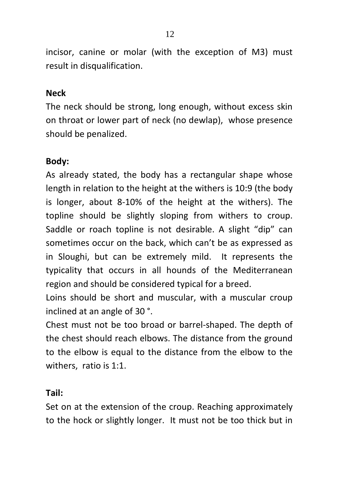incisor, canine or molar (with the exception of M3) must result in disqualification.

#### **Neck**

The neck should be strong, long enough, without excess skin on throat or lower part of neck (no dewlap), whose presence should be penalized.

# **Body:**

As already stated, the body has a rectangular shape whose length in relation to the height at the withers is 10:9 (the body is longer, about 8-10% of the height at the withers). The topline should be slightly sloping from withers to croup. Saddle or roach topline is not desirable. A slight "dip" can sometimes occur on the back, which can't be as expressed as in Sloughi, but can be extremely mild. It represents the typicality that occurs in all hounds of the Mediterranean region and should be considered typical for a breed.

Loins should be short and muscular, with a muscular croup inclined at an angle of 30 °.

Chest must not be too broad or barrel-shaped. The depth of the chest should reach elbows. The distance from the ground to the elbow is equal to the distance from the elbow to the withers, ratio is 1:1.

#### **Tail:**

Set on at the extension of the croup. Reaching approximately to the hock or slightly longer. It must not be too thick but in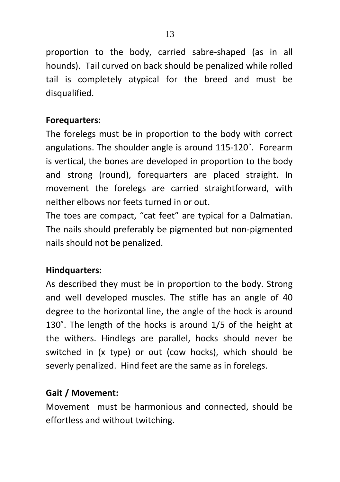proportion to the body, carried sabre-shaped (as in all hounds). Tail curved on back should be penalized while rolled tail is completely atypical for the breed and must be disqualified.

# **Forequarters:**

The forelegs must be in proportion to the body with correct angulations. The shoulder angle is around 115-120˚. Forearm is vertical, the bones are developed in proportion to the body and strong (round), forequarters are placed straight. In movement the forelegs are carried straightforward, with neither elbows nor feets turned in or out.

The toes are compact, "cat feet" are typical for a Dalmatian. The nails should preferably be pigmented but non-pigmented nails should not be penalized.

# **Hindquarters:**

As described they must be in proportion to the body. Strong and well developed muscles. The stifle has an angle of 40 degree to the horizontal line, the angle of the hock is around 130˚. The length of the hocks is around 1/5 of the height at the withers. Hindlegs are parallel, hocks should never be switched in (x type) or out (cow hocks), which should be severly penalized. Hind feet are the same as in forelegs.

# **Gait / Movement:**

Movement must be harmonious and connected, should be effortless and without twitching.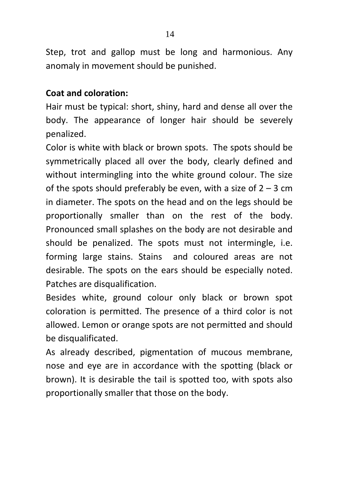Step, trot and gallop must be long and harmonious. Any anomaly in movement should be punished.

# **Coat and coloration:**

Hair must be typical: short, shiny, hard and dense all over the body. The appearance of longer hair should be severely penalized.

Color is white with black or brown spots. The spots should be symmetrically placed all over the body, clearly defined and without intermingling into the white ground colour. The size of the spots should preferably be even, with a size of  $2 - 3$  cm in diameter. The spots on the head and on the legs should be proportionally smaller than on the rest of the body. Pronounced small splashes on the body are not desirable and should be penalized. The spots must not intermingle, i.e. forming large stains. Stains and coloured areas are not desirable. The spots on the ears should be especially noted. Patches are disqualification.

Besides white, ground colour only black or brown spot coloration is permitted. The presence of a third color is not allowed. Lemon or orange spots are not permitted and should be disqualificated.

As already described, pigmentation of mucous membrane, nose and eye are in accordance with the spotting (black or brown). It is desirable the tail is spotted too, with spots also proportionally smaller that those on the body.